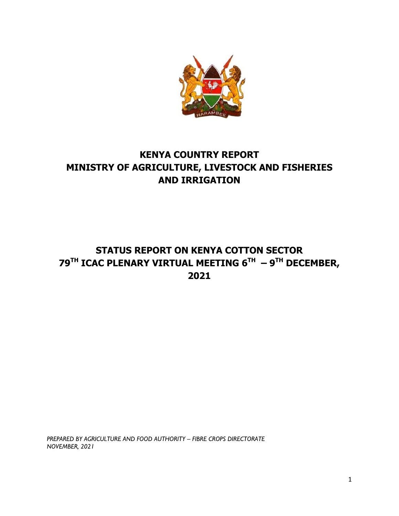

# **KENYA COUNTRY REPORT MINISTRY OF AGRICULTURE, LIVESTOCK AND FISHERIES AND IRRIGATION**

# **STATUS REPORT ON KENYA COTTON SECTOR 79TH ICAC PLENARY VIRTUAL MEETING 6TH – 9 TH DECEMBER, 2021**

*PREPARED BY AGRICULTURE AND FOOD AUTHORITY – FIBRE CROPS DIRECTORATE NOVEMBER, 2021*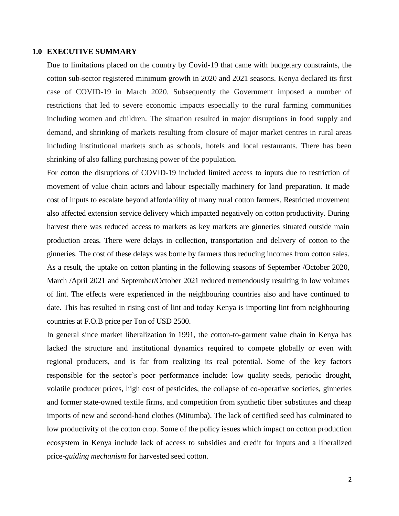#### **1.0 EXECUTIVE SUMMARY**

Due to limitations placed on the country by Covid-19 that came with budgetary constraints, the cotton sub-sector registered minimum growth in 2020 and 2021 seasons. Kenya declared its first case of COVID-19 in March 2020. Subsequently the Government imposed a number of restrictions that led to severe economic impacts especially to the rural farming communities including women and children. The situation resulted in major disruptions in food supply and demand, and shrinking of markets resulting from closure of major market centres in rural areas including institutional markets such as schools, hotels and local restaurants. There has been shrinking of also falling purchasing power of the population.

For cotton the disruptions of COVID-19 included limited access to inputs due to restriction of movement of value chain actors and labour especially machinery for land preparation. It made cost of inputs to escalate beyond affordability of many rural cotton farmers. Restricted movement also affected extension service delivery which impacted negatively on cotton productivity. During harvest there was reduced access to markets as key markets are ginneries situated outside main production areas. There were delays in collection, transportation and delivery of cotton to the ginneries. The cost of these delays was borne by farmers thus reducing incomes from cotton sales. As a result, the uptake on cotton planting in the following seasons of September /October 2020, March /April 2021 and September/October 2021 reduced tremendously resulting in low volumes of lint. The effects were experienced in the neighbouring countries also and have continued to date. This has resulted in rising cost of lint and today Kenya is importing lint from neighbouring countries at F.O.B price per Ton of USD 2500.

In general since market liberalization in 1991, the cotton-to-garment value chain in Kenya has lacked the structure and institutional dynamics required to compete globally or even with regional producers, and is far from realizing its real potential. Some of the key factors responsible for the sector's poor performance include: low quality seeds, periodic drought, volatile producer prices, high cost of pesticides, the collapse of co-operative societies, ginneries and former state-owned textile firms, and competition from synthetic fiber substitutes and cheap imports of new and second-hand clothes (Mitumba). The lack of certified seed has culminated to low productivity of the cotton crop. Some of the policy issues which impact on cotton production ecosystem in Kenya include lack of access to subsidies and credit for inputs and a liberalized price-*guiding mechanism* for harvested seed cotton.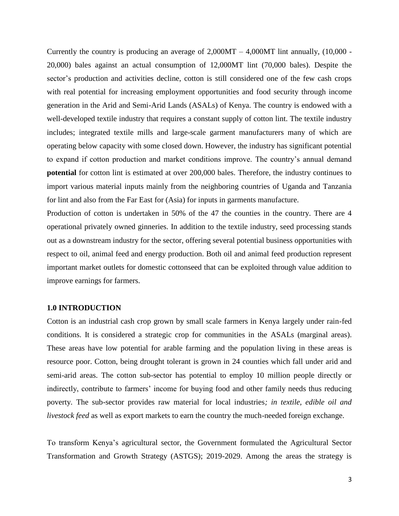Currently the country is producing an average of  $2,000MT - 4,000MT$  lint annually, (10,000 -20,000) bales against an actual consumption of 12,000MT lint (70,000 bales). Despite the sector's production and activities decline, cotton is still considered one of the few cash crops with real potential for increasing employment opportunities and food security through income generation in the Arid and Semi-Arid Lands (ASALs) of Kenya. The country is endowed with a well-developed textile industry that requires a constant supply of cotton lint. The textile industry includes; integrated textile mills and large-scale garment manufacturers many of which are operating below capacity with some closed down. However, the industry has significant potential to expand if cotton production and market conditions improve. The country's annual demand **potential** for cotton lint is estimated at over 200,000 bales. Therefore, the industry continues to import various material inputs mainly from the neighboring countries of Uganda and Tanzania for lint and also from the Far East for (Asia) for inputs in garments manufacture.

Production of cotton is undertaken in 50% of the 47 the counties in the country. There are 4 operational privately owned ginneries. In addition to the textile industry, seed processing stands out as a downstream industry for the sector, offering several potential business opportunities with respect to oil, animal feed and energy production. Both oil and animal feed production represent important market outlets for domestic cottonseed that can be exploited through value addition to improve earnings for farmers.

#### **1.0 INTRODUCTION**

Cotton is an industrial cash crop grown by small scale farmers in Kenya largely under rain-fed conditions. It is considered a strategic crop for communities in the ASALs (marginal areas). These areas have low potential for arable farming and the population living in these areas is resource poor. Cotton, being drought tolerant is grown in 24 counties which fall under arid and semi-arid areas. The cotton sub-sector has potential to employ 10 million people directly or indirectly, contribute to farmers' income for buying food and other family needs thus reducing poverty. The sub-sector provides raw material for local industries*; in textile, edible oil and livestock feed* as well as export markets to earn the country the much-needed foreign exchange.

To transform Kenya's agricultural sector, the Government formulated the Agricultural Sector Transformation and Growth Strategy (ASTGS); 2019-2029. Among the areas the strategy is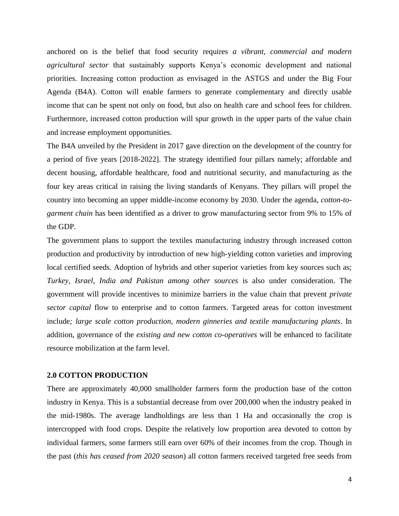anchored on is the belief that food security requires *a vibrant, commercial and modern agricultural sector* that sustainably supports Kenya's economic development and national priorities. Increasing cotton production as envisaged in the ASTGS and under the Big Four Agenda (B4A). Cotton will enable farmers to generate complementary and directly usable income that can be spent not only on food, but also on health care and school fees for children. Furthermore, increased cotton production will spur growth in the upper parts of the value chain and increase employment opportunities.

The B4A unveiled by the President in 2017 gave direction on the development of the country for a period of five years [2018-2022]. The strategy identified four pillars namely; affordable and decent housing, affordable healthcare, food and nutritional security, and manufacturing as the four key areas critical in raising the living standards of Kenyans. They pillars will propel the country into becoming an upper middle-income economy by 2030. Under the agenda, *cotton-togarment chain* has been identified as a driver to grow manufacturing sector from 9% to 15% of the GDP.

The government plans to support the textiles manufacturing industry through increased cotton production and productivity by introduction of new high-yielding cotton varieties and improving local certified seeds. Adoption of hybrids and other superior varieties from key sources such as; *Turkey, Israel, India and Pakistan among other sources* is also under consideration. The government will provide incentives to minimize barriers in the value chain that prevent *private sector capital* flow to enterprise and to cotton farmers. Targeted areas for cotton investment include*; large scale cotton production, modern ginneries and textile manufacturing plants*. In addition, governance of the *existing and new cotton co-operatives* will be enhanced to facilitate resource mobilization at the farm level.

#### **2.0 COTTON PRODUCTION**

There are approximately 40,000 smallholder farmers form the production base of the cotton industry in Kenya. This is a substantial decrease from over 200,000 when the industry peaked in the mid-1980s. The average landholdings are less than 1 Ha and occasionally the crop is intercropped with food crops. Despite the relatively low proportion area devoted to cotton by individual farmers, some farmers still earn over 60% of their incomes from the crop. Though in the past (*this has ceased from 2020 season*) all cotton farmers received targeted free seeds from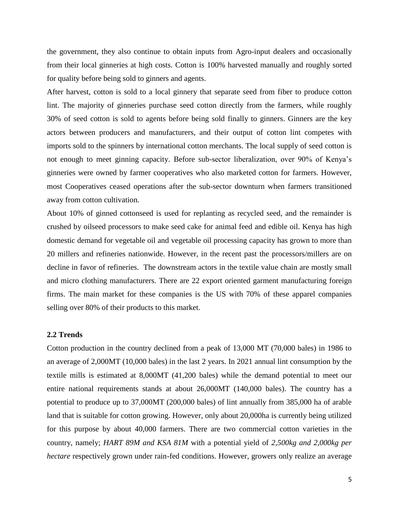the government, they also continue to obtain inputs from Agro-input dealers and occasionally from their local ginneries at high costs. Cotton is 100% harvested manually and roughly sorted for quality before being sold to ginners and agents.

After harvest, cotton is sold to a local ginnery that separate seed from fiber to produce cotton lint. The majority of ginneries purchase seed cotton directly from the farmers, while roughly 30% of seed cotton is sold to agents before being sold finally to ginners. Ginners are the key actors between producers and manufacturers, and their output of cotton lint competes with imports sold to the spinners by international cotton merchants. The local supply of seed cotton is not enough to meet ginning capacity. Before sub-sector liberalization, over 90% of Kenya's ginneries were owned by farmer cooperatives who also marketed cotton for farmers. However, most Cooperatives ceased operations after the sub-sector downturn when farmers transitioned away from cotton cultivation.

About 10% of ginned cottonseed is used for replanting as recycled seed, and the remainder is crushed by oilseed processors to make seed cake for animal feed and edible oil. Kenya has high domestic demand for vegetable oil and vegetable oil processing capacity has grown to more than 20 millers and refineries nationwide. However, in the recent past the processors/millers are on decline in favor of refineries. The downstream actors in the textile value chain are mostly small and micro clothing manufacturers. There are 22 export oriented garment manufacturing foreign firms. The main market for these companies is the US with 70% of these apparel companies selling over 80% of their products to this market.

## **2.2 Trends**

Cotton production in the country declined from a peak of 13,000 MT (70,000 bales) in 1986 to an average of 2,000MT (10,000 bales) in the last 2 years. In 2021 annual lint consumption by the textile mills is estimated at 8,000MT (41,200 bales) while the demand potential to meet our entire national requirements stands at about 26,000MT (140,000 bales). The country has a potential to produce up to 37,000MT (200,000 bales) of lint annually from 385,000 ha of arable land that is suitable for cotton growing. However, only about 20,000ha is currently being utilized for this purpose by about 40,000 farmers. There are two commercial cotton varieties in the country, namely; *HART 89M and KSA 81M* with a potential yield of *2,500kg and 2,000kg per hectare* respectively grown under rain-fed conditions. However, growers only realize an average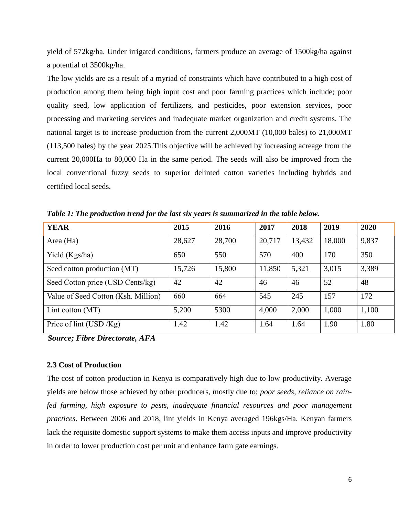yield of 572kg/ha. Under irrigated conditions, farmers produce an average of 1500kg/ha against a potential of 3500kg/ha.

The low yields are as a result of a myriad of constraints which have contributed to a high cost of production among them being high input cost and poor farming practices which include; poor quality seed, low application of fertilizers, and pesticides, poor extension services, poor processing and marketing services and inadequate market organization and credit systems. The national target is to increase production from the current 2,000MT (10,000 bales) to 21,000MT (113,500 bales) by the year 2025.This objective will be achieved by increasing acreage from the current 20,000Ha to 80,000 Ha in the same period. The seeds will also be improved from the local conventional fuzzy seeds to superior delinted cotton varieties including hybrids and certified local seeds.

| <b>YEAR</b>                         | 2015   | 2016   | 2017   | 2018   | 2019   | 2020  |
|-------------------------------------|--------|--------|--------|--------|--------|-------|
| Area (Ha)                           | 28,627 | 28,700 | 20,717 | 13,432 | 18,000 | 9,837 |
| Yield (Kgs/ha)                      | 650    | 550    | 570    | 400    | 170    | 350   |
| Seed cotton production (MT)         | 15,726 | 15,800 | 11,850 | 5,321  | 3,015  | 3,389 |
| Seed Cotton price (USD Cents/kg)    | 42     | 42     | 46     | 46     | 52     | 48    |
| Value of Seed Cotton (Ksh. Million) | 660    | 664    | 545    | 245    | 157    | 172   |
| Lint cotton (MT)                    | 5,200  | 5300   | 4,000  | 2,000  | 1,000  | 1,100 |
| Price of lint (USD $/Kg$ )          | 1.42   | 1.42   | 1.64   | 1.64   | 1.90   | 1.80  |

*Table 1: The production trend for the last six years is summarized in the table below.*

*Source; Fibre Directorate, AFA*

### **2.3 Cost of Production**

The cost of cotton production in Kenya is comparatively high due to low productivity. Average yields are below those achieved by other producers, mostly due to; *poor seeds, reliance on rainfed farming, high exposure to pests, inadequate financial resources and poor management practices*. Between 2006 and 2018, lint yields in Kenya averaged 196kgs/Ha. Kenyan farmers lack the requisite domestic support systems to make them access inputs and improve productivity in order to lower production cost per unit and enhance farm gate earnings.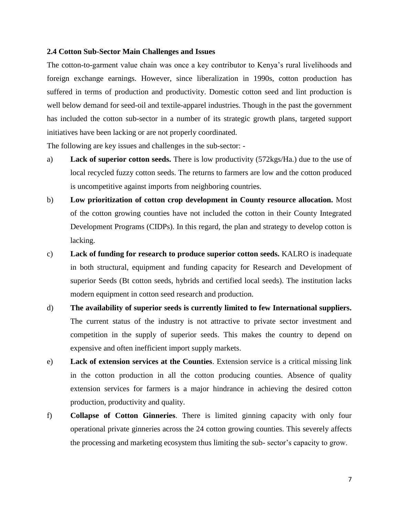#### **2.4 Cotton Sub-Sector Main Challenges and Issues**

The cotton-to-garment value chain was once a key contributor to Kenya's rural livelihoods and foreign exchange earnings. However, since liberalization in 1990s, cotton production has suffered in terms of production and productivity. Domestic cotton seed and lint production is well below demand for seed-oil and textile-apparel industries. Though in the past the government has included the cotton sub-sector in a number of its strategic growth plans, targeted support initiatives have been lacking or are not properly coordinated.

The following are key issues and challenges in the sub-sector: -

- a) **Lack of superior cotton seeds.** There is low productivity (572kgs/Ha.) due to the use of local recycled fuzzy cotton seeds. The returns to farmers are low and the cotton produced is uncompetitive against imports from neighboring countries.
- b) **Low prioritization of cotton crop development in County resource allocation.** Most of the cotton growing counties have not included the cotton in their County Integrated Development Programs (CIDPs). In this regard, the plan and strategy to develop cotton is lacking.
- c) **Lack of funding for research to produce superior cotton seeds.** KALRO is inadequate in both structural, equipment and funding capacity for Research and Development of superior Seeds (Bt cotton seeds, hybrids and certified local seeds). The institution lacks modern equipment in cotton seed research and production.
- d) **The availability of superior seeds is currently limited to few International suppliers.** The current status of the industry is not attractive to private sector investment and competition in the supply of superior seeds. This makes the country to depend on expensive and often inefficient import supply markets.
- e) **Lack of extension services at the Counties**. Extension service is a critical missing link in the cotton production in all the cotton producing counties. Absence of quality extension services for farmers is a major hindrance in achieving the desired cotton production, productivity and quality.
- f) **Collapse of Cotton Ginneries**. There is limited ginning capacity with only four operational private ginneries across the 24 cotton growing counties. This severely affects the processing and marketing ecosystem thus limiting the sub- sector's capacity to grow.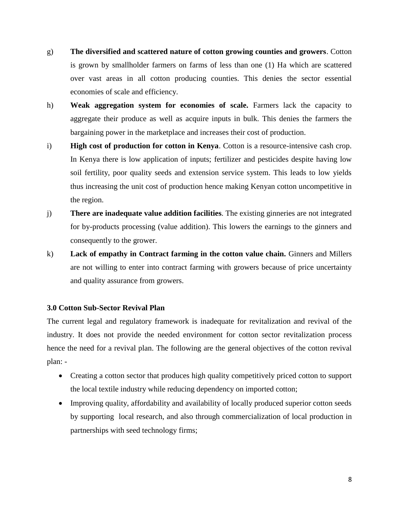- g) **The diversified and scattered nature of cotton growing counties and growers**. Cotton is grown by smallholder farmers on farms of less than one (1) Ha which are scattered over vast areas in all cotton producing counties. This denies the sector essential economies of scale and efficiency.
- h) **Weak aggregation system for economies of scale.** Farmers lack the capacity to aggregate their produce as well as acquire inputs in bulk. This denies the farmers the bargaining power in the marketplace and increases their cost of production.
- i) **High cost of production for cotton in Kenya**. Cotton is a resource-intensive cash crop. In Kenya there is low application of inputs; fertilizer and pesticides despite having low soil fertility, poor quality seeds and extension service system. This leads to low yields thus increasing the unit cost of production hence making Kenyan cotton uncompetitive in the region.
- j) **There are inadequate value addition facilities**. The existing ginneries are not integrated for by-products processing (value addition). This lowers the earnings to the ginners and consequently to the grower.
- k) **Lack of empathy in Contract farming in the cotton value chain.** Ginners and Millers are not willing to enter into contract farming with growers because of price uncertainty and quality assurance from growers.

# **3.0 Cotton Sub-Sector Revival Plan**

The current legal and regulatory framework is inadequate for revitalization and revival of the industry. It does not provide the needed environment for cotton sector revitalization process hence the need for a revival plan. The following are the general objectives of the cotton revival plan: -

- Creating a cotton sector that produces high quality competitively priced cotton to support the local textile industry while reducing dependency on imported cotton;
- Improving quality, affordability and availability of locally produced superior cotton seeds by supporting local research, and also through commercialization of local production in partnerships with seed technology firms;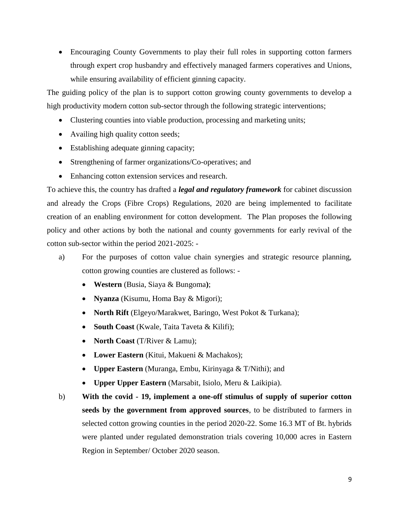Encouraging County Governments to play their full roles in supporting cotton farmers through expert crop husbandry and effectively managed farmers coperatives and Unions, while ensuring availability of efficient ginning capacity.

The guiding policy of the plan is to support cotton growing county governments to develop a high productivity modern cotton sub-sector through the following strategic interventions;

- Clustering counties into viable production, processing and marketing units;
- Availing high quality cotton seeds;
- Establishing adequate ginning capacity;
- Strengthening of farmer organizations/Co-operatives; and
- Enhancing cotton extension services and research.

To achieve this, the country has drafted a *legal and regulatory framework* for cabinet discussion and already the Crops (Fibre Crops) Regulations, 2020 are being implemented to facilitate creation of an enabling environment for cotton development. The Plan proposes the following policy and other actions by both the national and county governments for early revival of the cotton sub-sector within the period 2021-2025: -

- a) For the purposes of cotton value chain synergies and strategic resource planning, cotton growing counties are clustered as follows: -
	- **Western** (Busia, Siaya & Bungoma**)**;
	- **Nyanza** (Kisumu, Homa Bay & Migori);
	- **North Rift** (Elgeyo/Marakwet, Baringo, West Pokot & Turkana);
	- **South Coast** (Kwale, Taita Taveta & Kilifi);
	- **North Coast** (T/River & Lamu);
	- **Lower Eastern** (Kitui, Makueni & Machakos);
	- **Upper Eastern** (Muranga, Embu, Kirinyaga & T/Nithi); and
	- **Upper Upper Eastern** (Marsabit, Isiolo, Meru & Laikipia).
- b) **With the covid - 19, implement a one-off stimulus of supply of superior cotton seeds by the government from approved sources**, to be distributed to farmers in selected cotton growing counties in the period 2020-22. Some 16.3 MT of Bt. hybrids were planted under regulated demonstration trials covering 10,000 acres in Eastern Region in September/ October 2020 season.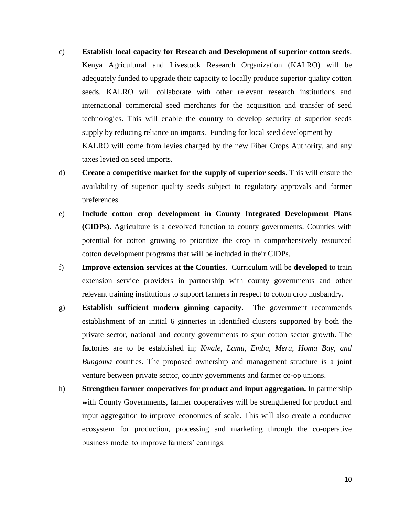- c) **Establish local capacity for Research and Development of superior cotton seeds**. Kenya Agricultural and Livestock Research Organization (KALRO) will be adequately funded to upgrade their capacity to locally produce superior quality cotton seeds. KALRO will collaborate with other relevant research institutions and international commercial seed merchants for the acquisition and transfer of seed technologies. This will enable the country to develop security of superior seeds supply by reducing reliance on imports. Funding for local seed development by KALRO will come from levies charged by the new Fiber Crops Authority, and any taxes levied on seed imports.
- d) **Create a competitive market for the supply of superior seeds**. This will ensure the availability of superior quality seeds subject to regulatory approvals and farmer preferences.
- e) **Include cotton crop development in County Integrated Development Plans (CIDPs).** Agriculture is a devolved function to county governments. Counties with potential for cotton growing to prioritize the crop in comprehensively resourced cotton development programs that will be included in their CIDPs.
- f) **Improve extension services at the Counties**. Curriculum will be **developed** to train extension service providers in partnership with county governments and other relevant training institutions to support farmers in respect to cotton crop husbandry.
- g) **Establish sufficient modern ginning capacity.** The government recommends establishment of an initial 6 ginneries in identified clusters supported by both the private sector, national and county governments to spur cotton sector growth. The factories are to be established in; *Kwale, Lamu, Embu, Meru, Homa Bay, and Bungoma* counties. The proposed ownership and management structure is a joint venture between private sector, county governments and farmer co-op unions.
- h) **Strengthen farmer cooperatives for product and input aggregation.** In partnership with County Governments, farmer cooperatives will be strengthened for product and input aggregation to improve economies of scale. This will also create a conducive ecosystem for production, processing and marketing through the co-operative business model to improve farmers' earnings.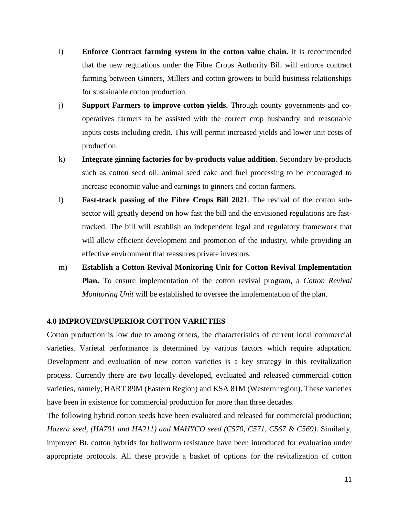- i) **Enforce Contract farming system in the cotton value chain.** It is recommended that the new regulations under the Fibre Crops Authority Bill will enforce contract farming between Ginners, Millers and cotton growers to build business relationships for sustainable cotton production.
- j) **Support Farmers to improve cotton yields.** Through county governments and cooperatives farmers to be assisted with the correct crop husbandry and reasonable inputs costs including credit. This will permit increased yields and lower unit costs of production.
- k) **Integrate ginning factories for by-products value addition**. Secondary by-products such as cotton seed oil, animal seed cake and fuel processing to be encouraged to increase economic value and earnings to ginners and cotton farmers.
- l) **Fast-track passing of the Fibre Crops Bill 2021**. The revival of the cotton subsector will greatly depend on how fast the bill and the envisioned regulations are fasttracked. The bill will establish an independent legal and regulatory framework that will allow efficient development and promotion of the industry, while providing an effective environment that reassures private investors.
- m) **Establish a Cotton Revival Monitoring Unit for Cotton Revival Implementation Plan.** To ensure implementation of the cotton revival program, a *Cotton Revival Monitoring Unit* will be established to oversee the implementation of the plan.

## **4.0 IMPROVED/SUPERIOR COTTON VARIETIES**

Cotton production is low due to among others, the characteristics of current local commercial varieties. Varietal performance is determined by various factors which require adaptation. Development and evaluation of new cotton varieties is a key strategy in this revitalization process. Currently there are two locally developed, evaluated and released commercial cotton varieties, namely; HART 89M (Eastern Region) and KSA 81M (Western region). These varieties have been in existence for commercial production for more than three decades.

The following hybrid cotton seeds have been evaluated and released for commercial production; *Hazera seed, (HA701 and HA211) and MAHYCO seed (C570, C571, C567 & C569)*. Similarly, improved Bt. cotton hybrids for bollworm resistance have been introduced for evaluation under appropriate protocols. All these provide a basket of options for the revitalization of cotton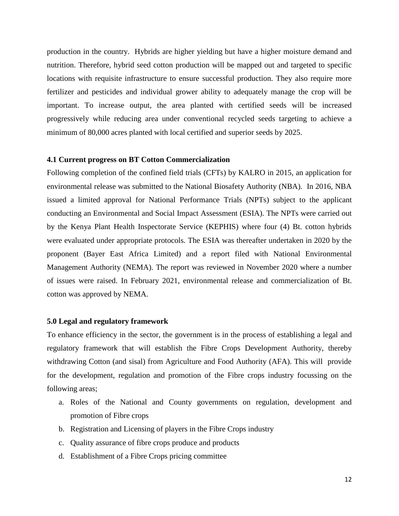production in the country. Hybrids are higher yielding but have a higher moisture demand and nutrition. Therefore, hybrid seed cotton production will be mapped out and targeted to specific locations with requisite infrastructure to ensure successful production. They also require more fertilizer and pesticides and individual grower ability to adequately manage the crop will be important. To increase output, the area planted with certified seeds will be increased progressively while reducing area under conventional recycled seeds targeting to achieve a minimum of 80,000 acres planted with local certified and superior seeds by 2025.

#### **4.1 Current progress on BT Cotton Commercialization**

Following completion of the confined field trials (CFTs) by KALRO in 2015, an application for environmental release was submitted to the National Biosafety Authority (NBA). In 2016, NBA issued a limited approval for National Performance Trials (NPTs) subject to the applicant conducting an Environmental and Social Impact Assessment (ESIA). The NPTs were carried out by the Kenya Plant Health Inspectorate Service (KEPHIS) where four (4) Bt. cotton hybrids were evaluated under appropriate protocols. The ESIA was thereafter undertaken in 2020 by the proponent (Bayer East Africa Limited) and a report filed with National Environmental Management Authority (NEMA). The report was reviewed in November 2020 where a number of issues were raised. In February 2021, environmental release and commercialization of Bt. cotton was approved by NEMA.

#### **5.0 Legal and regulatory framework**

To enhance efficiency in the sector, the government is in the process of establishing a legal and regulatory framework that will establish the Fibre Crops Development Authority, thereby withdrawing Cotton (and sisal) from Agriculture and Food Authority (AFA). This will provide for the development, regulation and promotion of the Fibre crops industry focussing on the following areas;

- a. Roles of the National and County governments on regulation, development and promotion of Fibre crops
- b. Registration and Licensing of players in the Fibre Crops industry
- c. Quality assurance of fibre crops produce and products
- d. Establishment of a Fibre Crops pricing committee